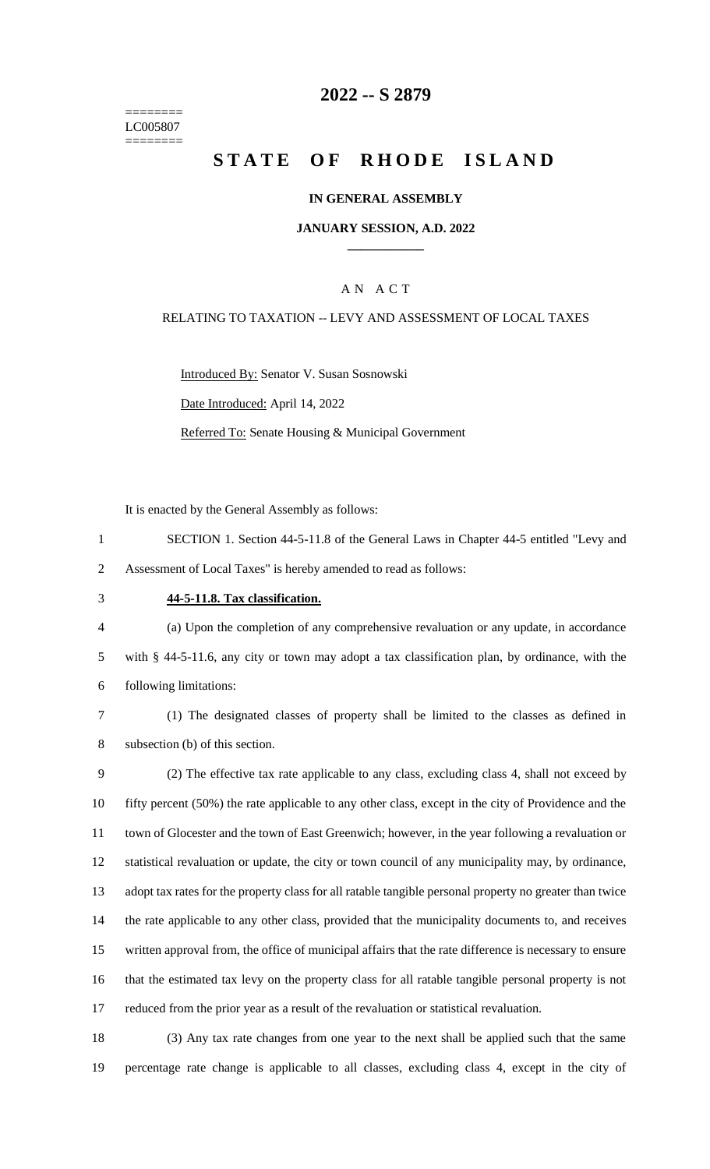======== LC005807 ========

## **-- S 2879**

# **STATE OF RHODE ISLAND**

### **IN GENERAL ASSEMBLY**

### **JANUARY SESSION, A.D. 2022 \_\_\_\_\_\_\_\_\_\_\_\_**

### A N A C T

#### RELATING TO TAXATION -- LEVY AND ASSESSMENT OF LOCAL TAXES

Introduced By: Senator V. Susan Sosnowski Date Introduced: April 14, 2022

Referred To: Senate Housing & Municipal Government

It is enacted by the General Assembly as follows:

- SECTION 1. Section 44-5-11.8 of the General Laws in Chapter 44-5 entitled "Levy and Assessment of Local Taxes" is hereby amended to read as follows:
- 

#### **44-5-11.8. Tax classification.**

 (a) Upon the completion of any comprehensive revaluation or any update, in accordance with § 44-5-11.6, any city or town may adopt a tax classification plan, by ordinance, with the following limitations:

 (1) The designated classes of property shall be limited to the classes as defined in subsection (b) of this section.

 (2) The effective tax rate applicable to any class, excluding class 4, shall not exceed by fifty percent (50%) the rate applicable to any other class, except in the city of Providence and the town of Glocester and the town of East Greenwich; however, in the year following a revaluation or statistical revaluation or update, the city or town council of any municipality may, by ordinance, adopt tax rates for the property class for all ratable tangible personal property no greater than twice the rate applicable to any other class, provided that the municipality documents to, and receives written approval from, the office of municipal affairs that the rate difference is necessary to ensure that the estimated tax levy on the property class for all ratable tangible personal property is not reduced from the prior year as a result of the revaluation or statistical revaluation.

 (3) Any tax rate changes from one year to the next shall be applied such that the same percentage rate change is applicable to all classes, excluding class 4, except in the city of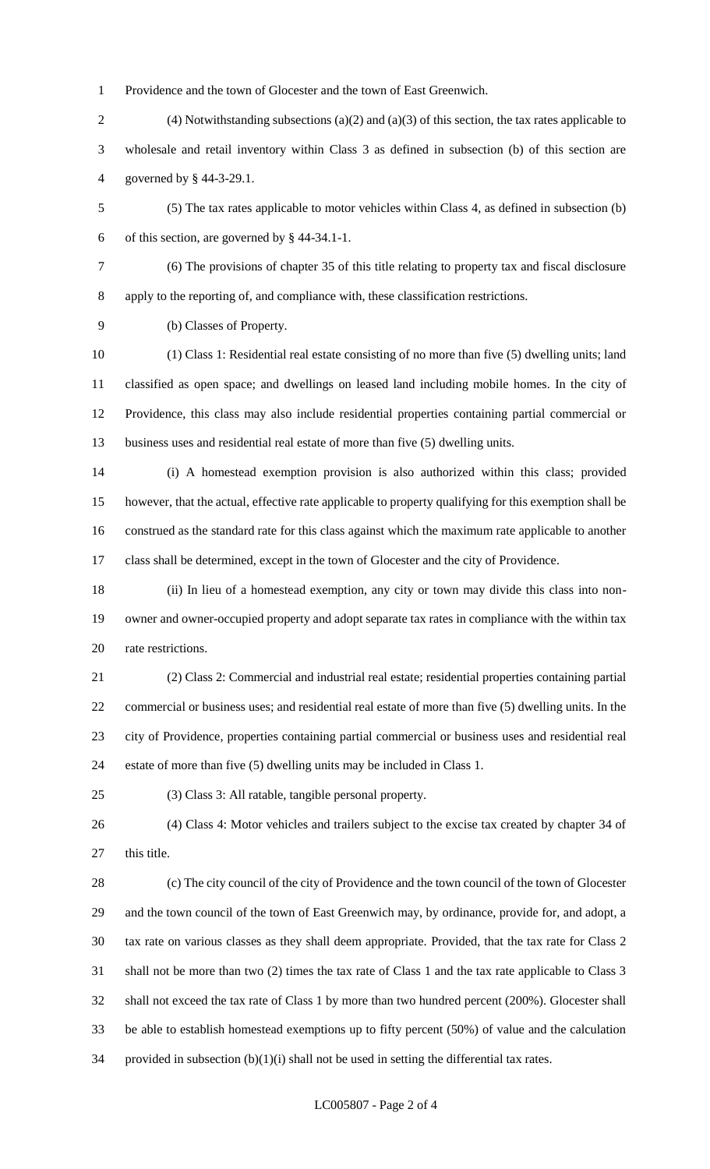Providence and the town of Glocester and the town of East Greenwich.

- (4) Notwithstanding subsections (a)(2) and (a)(3) of this section, the tax rates applicable to wholesale and retail inventory within Class 3 as defined in subsection (b) of this section are governed by § 44-3-29.1.
- (5) The tax rates applicable to motor vehicles within Class 4, as defined in subsection (b) of this section, are governed by § 44-34.1-1.
- 

 (6) The provisions of chapter 35 of this title relating to property tax and fiscal disclosure apply to the reporting of, and compliance with, these classification restrictions.

(b) Classes of Property.

 (1) Class 1: Residential real estate consisting of no more than five (5) dwelling units; land classified as open space; and dwellings on leased land including mobile homes. In the city of Providence, this class may also include residential properties containing partial commercial or business uses and residential real estate of more than five (5) dwelling units.

 (i) A homestead exemption provision is also authorized within this class; provided however, that the actual, effective rate applicable to property qualifying for this exemption shall be construed as the standard rate for this class against which the maximum rate applicable to another class shall be determined, except in the town of Glocester and the city of Providence.

 (ii) In lieu of a homestead exemption, any city or town may divide this class into non- owner and owner-occupied property and adopt separate tax rates in compliance with the within tax rate restrictions.

 (2) Class 2: Commercial and industrial real estate; residential properties containing partial commercial or business uses; and residential real estate of more than five (5) dwelling units. In the city of Providence, properties containing partial commercial or business uses and residential real estate of more than five (5) dwelling units may be included in Class 1.

(3) Class 3: All ratable, tangible personal property.

 (4) Class 4: Motor vehicles and trailers subject to the excise tax created by chapter 34 of 27 this title.

 (c) The city council of the city of Providence and the town council of the town of Glocester and the town council of the town of East Greenwich may, by ordinance, provide for, and adopt, a tax rate on various classes as they shall deem appropriate. Provided, that the tax rate for Class 2 shall not be more than two (2) times the tax rate of Class 1 and the tax rate applicable to Class 3 shall not exceed the tax rate of Class 1 by more than two hundred percent (200%). Glocester shall be able to establish homestead exemptions up to fifty percent (50%) of value and the calculation 34 provided in subsection  $(b)(1)(i)$  shall not be used in setting the differential tax rates.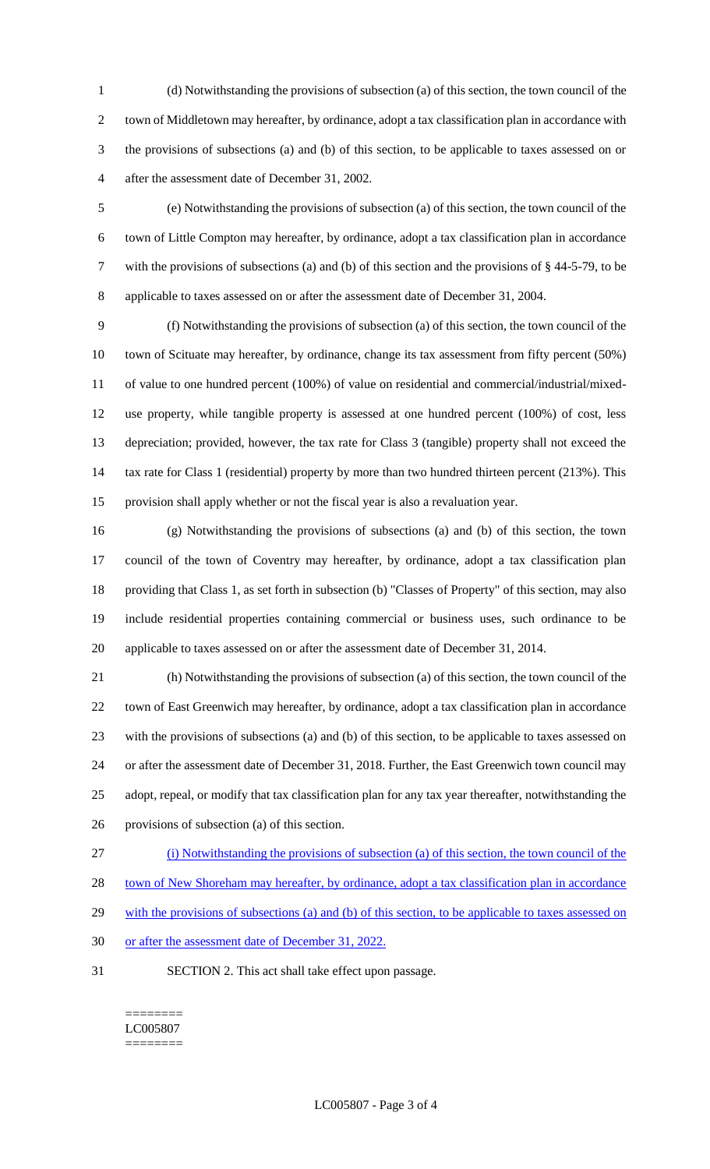(d) Notwithstanding the provisions of subsection (a) of this section, the town council of the town of Middletown may hereafter, by ordinance, adopt a tax classification plan in accordance with the provisions of subsections (a) and (b) of this section, to be applicable to taxes assessed on or after the assessment date of December 31, 2002.

 (e) Notwithstanding the provisions of subsection (a) of this section, the town council of the town of Little Compton may hereafter, by ordinance, adopt a tax classification plan in accordance with the provisions of subsections (a) and (b) of this section and the provisions of § 44-5-79, to be applicable to taxes assessed on or after the assessment date of December 31, 2004.

 (f) Notwithstanding the provisions of subsection (a) of this section, the town council of the town of Scituate may hereafter, by ordinance, change its tax assessment from fifty percent (50%) of value to one hundred percent (100%) of value on residential and commercial/industrial/mixed- use property, while tangible property is assessed at one hundred percent (100%) of cost, less depreciation; provided, however, the tax rate for Class 3 (tangible) property shall not exceed the 14 tax rate for Class 1 (residential) property by more than two hundred thirteen percent (213%). This provision shall apply whether or not the fiscal year is also a revaluation year.

 (g) Notwithstanding the provisions of subsections (a) and (b) of this section, the town council of the town of Coventry may hereafter, by ordinance, adopt a tax classification plan providing that Class 1, as set forth in subsection (b) "Classes of Property" of this section, may also include residential properties containing commercial or business uses, such ordinance to be applicable to taxes assessed on or after the assessment date of December 31, 2014.

 (h) Notwithstanding the provisions of subsection (a) of this section, the town council of the town of East Greenwich may hereafter, by ordinance, adopt a tax classification plan in accordance with the provisions of subsections (a) and (b) of this section, to be applicable to taxes assessed on or after the assessment date of December 31, 2018. Further, the East Greenwich town council may adopt, repeal, or modify that tax classification plan for any tax year thereafter, notwithstanding the provisions of subsection (a) of this section.

(i) Notwithstanding the provisions of subsection (a) of this section, the town council of the

town of New Shoreham may hereafter, by ordinance, adopt a tax classification plan in accordance

29 with the provisions of subsections (a) and (b) of this section, to be applicable to taxes assessed on

- or after the assessment date of December 31, 2022.
- SECTION 2. This act shall take effect upon passage.

======== LC005807 ========